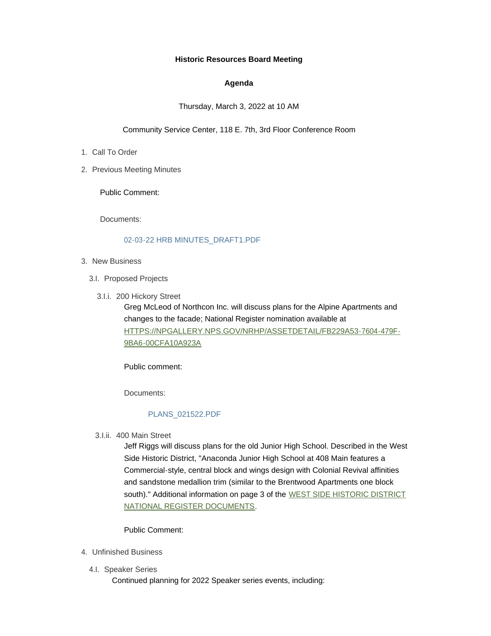## **Historic Resources Board Meeting**

## **Agenda**

## Thursday, March 3, 2022 at 10 AM

### Community Service Center, 118 E. 7th, 3rd Floor Conference Room

- 1. Call To Order
- 2. Previous Meeting Minutes

Public Comment:

Documents:

### [02-03-22 HRB MINUTES\\_DRAFT1.PDF](https://www.adlc.us/AgendaCenter/ViewFile/Item/304?fileID=526)

- 3. New Business
	- 3.I. Proposed Projects
		- 3.I.i. 200 Hickory Street

Greg McLeod of Northcon Inc. will discuss plans for the Alpine Apartments and changes to the facade; National Register nomination available at [HTTPS://NPGALLERY.NPS.GOV/NRHP/ASSETDETAIL/FB229A53-7604-479F-](https://npgallery.nps.gov/NRHP/AssetDetail/fb229a53-7604-479f-9ba6-00cfa10a923a)9BA6-00CFA10A923A

Public comment:

Documents:

#### [PLANS\\_021522.PDF](https://www.adlc.us/AgendaCenter/ViewFile/Item/299?fileID=524)

400 Main Street 3.I.ii.

Jeff Riggs will discuss plans for the old Junior High School. Described in the West Side Historic District, "Anaconda Junior High School at 408 Main features a Commercial-style, central block and wings design with Colonial Revival affinities and sandstone medallion trim (similar to the Brentwood Apartments one block south)." Additional information on page 3 of the [WEST SIDE HISTORIC D](https://npgallery.nps.gov/NRHP/AssetDetail/f6eb39b2-160f-4978-a9f3-ba71da4d956c)ISTRICT NATIONAL REGISTER DOCUMENTS.

Public Comment:

- Unfinished Business 4.
	- 4.I. Speaker Series

Continued planning for 2022 Speaker series events, including: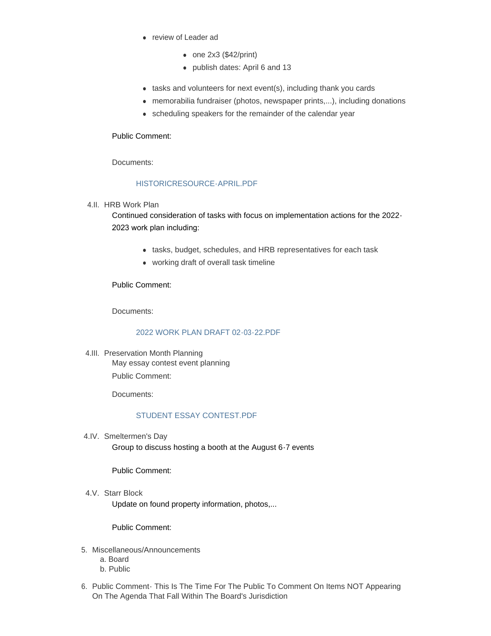- review of Leader ad
	- $\bullet$  one 2x3 (\$42/print)
	- publish dates: April 6 and 13
- $\bullet$  tasks and volunteers for next event(s), including thank you cards
- memorabilia fundraiser (photos, newspaper prints,...), including donations
- scheduling speakers for the remainder of the calendar year

## Public Comment:

Documents:

# [HISTORICRESOURCE-APRIL.PDF](https://www.adlc.us/AgendaCenter/ViewFile/Item/313?fileID=529)

4.II. HRB Work Plan

Continued consideration of tasks with focus on implementation actions for the 2022- 2023 work plan including:

- tasks, budget, schedules, and HRB representatives for each task
- working draft of overall task timeline

Public Comment:

Documents:

# [2022 WORK PLAN DRAFT 02-03-22.PDF](https://www.adlc.us/AgendaCenter/ViewFile/Item/314?fileID=530)

4.III. Preservation Month Planning May essay contest event planning Public Comment:

Documents:

# [STUDENT ESSAY CONTEST.PDF](https://www.adlc.us/AgendaCenter/ViewFile/Item/301?fileID=525)

4.IV. Smeltermen's Day

Group to discuss hosting a booth at the August 6-7 events

Public Comment:

4.V. Starr Block Update on found property information, photos,...

Public Comment:

- 5. Miscellaneous/Announcements
	- a. Board
	- b. Public
- 6. Public Comment This Is The Time For The Public To Comment On Items NOT Appearing On The Agenda That Fall Within The Board's Jurisdiction